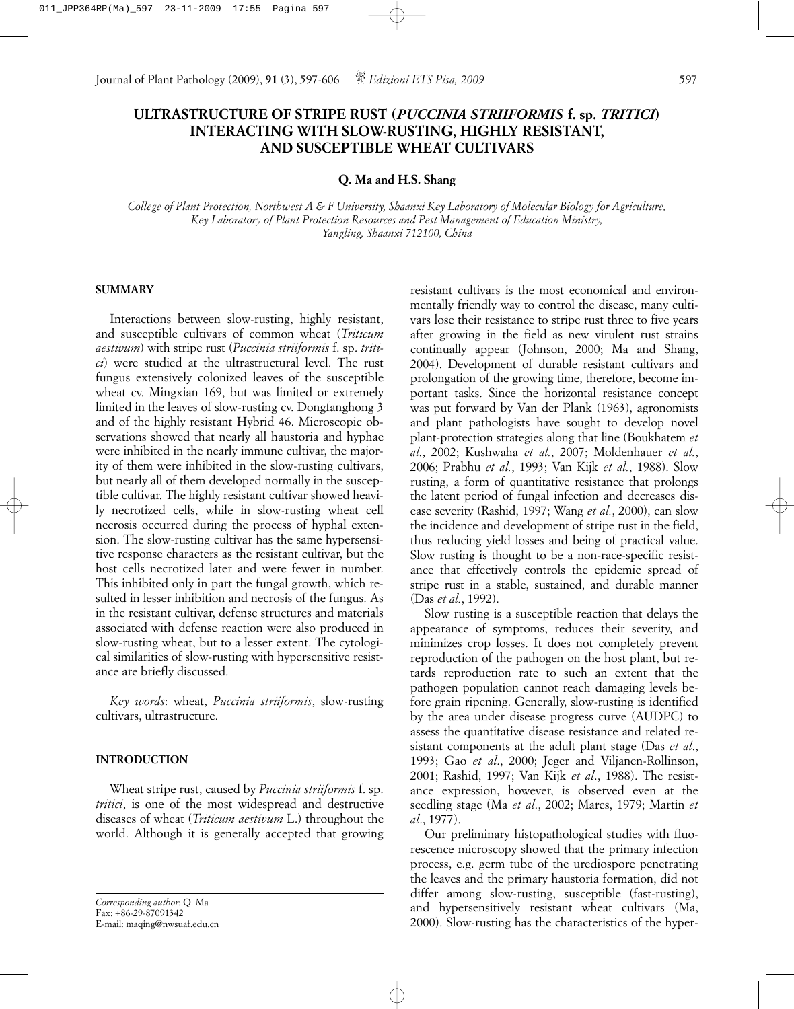# **ULTRASTRUCTURE OF STRIPE RUST (***PUCCINIA STRIIFORMIS* **f. sp.** *TRITICI***) INTERACTING WITH SLOW-RUSTING, HIGHLY RESISTANT, AND SUSCEPTIBLE WHEAT CULTIVARS**

## **Q. Ma and H.S. Shang**

*College of Plant Protection, Northwest A & F University, Shaanxi Key Laboratory of Molecular Biology for Agriculture, Key Laboratory of Plant Protection Resources and Pest Management of Education Ministry, Yangling, Shaanxi 712100, China*

#### **SUMMARY**

Interactions between slow-rusting, highly resistant, and susceptible cultivars of common wheat (*Triticum aestivum*) with stripe rust (*Puccinia striiformis* f. sp. *tritici*) were studied at the ultrastructural level. The rust fungus extensively colonized leaves of the susceptible wheat cv. Mingxian 169, but was limited or extremely limited in the leaves of slow-rusting cv. Dongfanghong 3 and of the highly resistant Hybrid 46. Microscopic observations showed that nearly all haustoria and hyphae were inhibited in the nearly immune cultivar, the majority of them were inhibited in the slow-rusting cultivars, but nearly all of them developed normally in the susceptible cultivar. The highly resistant cultivar showed heavily necrotized cells, while in slow-rusting wheat cell necrosis occurred during the process of hyphal extension. The slow-rusting cultivar has the same hypersensitive response characters as the resistant cultivar, but the host cells necrotized later and were fewer in number. This inhibited only in part the fungal growth, which resulted in lesser inhibition and necrosis of the fungus. As in the resistant cultivar, defense structures and materials associated with defense reaction were also produced in slow-rusting wheat, but to a lesser extent. The cytological similarities of slow-rusting with hypersensitive resistance are briefly discussed.

*Key words*: wheat, *Puccinia striiformis*, slow-rusting cultivars, ultrastructure.

# **INTRODUCTION**

Wheat stripe rust, caused by *Puccinia striiformis* f. sp. *tritici*, is one of the most widespread and destructive diseases of wheat (*Triticum aestivum* L.) throughout the world. Although it is generally accepted that growing

resistant cultivars is the most economical and environmentally friendly way to control the disease, many cultivars lose their resistance to stripe rust three to five years after growing in the field as new virulent rust strains continually appear (Johnson, 2000; Ma and Shang, 2004). Development of durable resistant cultivars and prolongation of the growing time, therefore, become important tasks. Since the horizontal resistance concept was put forward by Van der Plank (1963), agronomists and plant pathologists have sought to develop novel plant-protection strategies along that line (Boukhatem *et al.*, 2002; Kushwaha *et al.*, 2007; Moldenhauer *et al.*, 2006; Prabhu *et al.*, 1993; Van Kijk *et al.*, 1988). Slow rusting, a form of quantitative resistance that prolongs the latent period of fungal infection and decreases disease severity (Rashid, 1997; Wang *et al.*, 2000), can slow the incidence and development of stripe rust in the field, thus reducing yield losses and being of practical value. Slow rusting is thought to be a non-race-specific resistance that effectively controls the epidemic spread of stripe rust in a stable, sustained, and durable manner (Das *et al.*, 1992).

Slow rusting is a susceptible reaction that delays the appearance of symptoms, reduces their severity, and minimizes crop losses. It does not completely prevent reproduction of the pathogen on the host plant, but retards reproduction rate to such an extent that the pathogen population cannot reach damaging levels before grain ripening. Generally, slow-rusting is identified by the area under disease progress curve (AUDPC) to assess the quantitative disease resistance and related resistant components at the adult plant stage (Das *et al*., 1993; Gao *et al*., 2000; Jeger and Viljanen-Rollinson, 2001; Rashid, 1997; Van Kijk *et al*., 1988). The resistance expression, however, is observed even at the seedling stage (Ma *et al*., 2002; Mares, 1979; Martin *et al*., 1977).

Our preliminary histopathological studies with fluorescence microscopy showed that the primary infection process, e.g. germ tube of the urediospore penetrating the leaves and the primary haustoria formation, did not differ among slow-rusting, susceptible (fast-rusting), and hypersensitively resistant wheat cultivars (Ma, 2000). Slow-rusting has the characteristics of the hyper-

*Corresponding author*: Q. Ma Fax: +86-29-87091342 E-mail: maqing@nwsuaf.edu.cn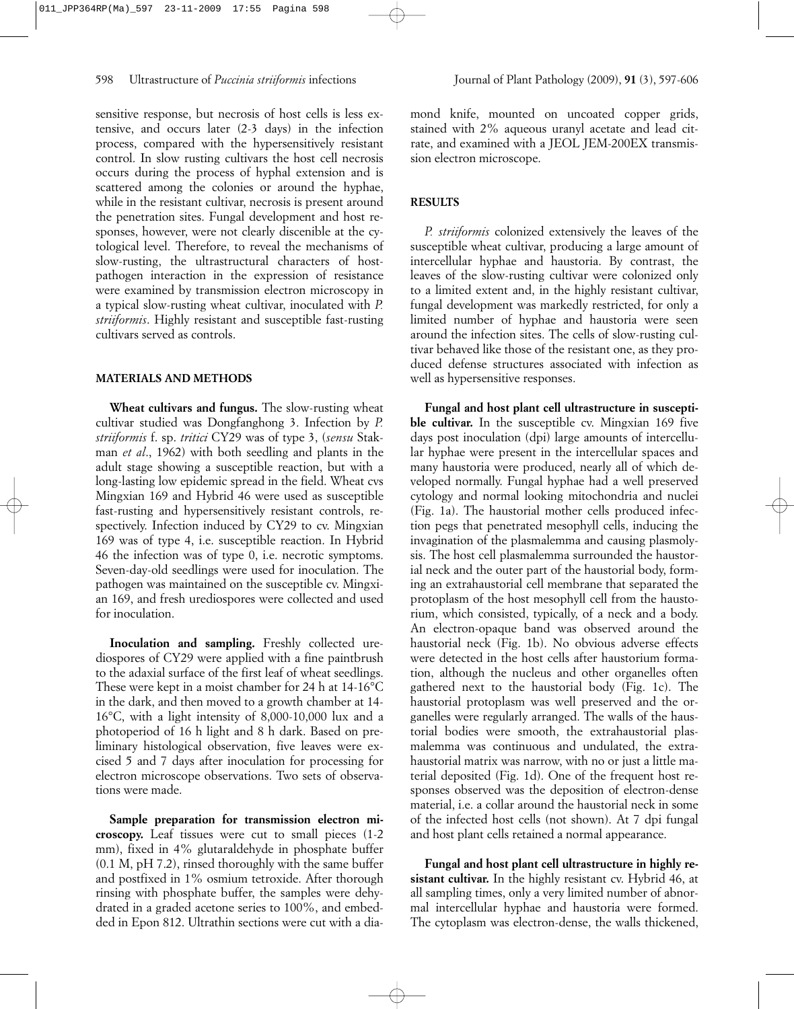sensitive response, but necrosis of host cells is less extensive, and occurs later (2-3 days) in the infection process, compared with the hypersensitively resistant control. In slow rusting cultivars the host cell necrosis occurs during the process of hyphal extension and is scattered among the colonies or around the hyphae, while in the resistant cultivar, necrosis is present around the penetration sites. Fungal development and host responses, however, were not clearly discenible at the cytological level. Therefore, to reveal the mechanisms of slow-rusting, the ultrastructural characters of hostpathogen interaction in the expression of resistance were examined by transmission electron microscopy in a typical slow-rusting wheat cultivar, inoculated with *P. striiformis*. Highly resistant and susceptible fast-rusting cultivars served as controls.

#### **MATERIALS AND METHODS**

**Wheat cultivars and fungus.** The slow-rusting wheat cultivar studied was Dongfanghong 3. Infection by *P. striiformis* f. sp. *tritici* CY29 was of type 3, (*sensu* Stakman *et al*., 1962) with both seedling and plants in the adult stage showing a susceptible reaction, but with a long-lasting low epidemic spread in the field. Wheat cvs Mingxian 169 and Hybrid 46 were used as susceptible fast-rusting and hypersensitively resistant controls, respectively. Infection induced by CY29 to cv. Mingxian 169 was of type 4, i.e. susceptible reaction. In Hybrid 46 the infection was of type 0, i.e. necrotic symptoms. Seven-day-old seedlings were used for inoculation. The pathogen was maintained on the susceptible cv. Mingxian 169, and fresh urediospores were collected and used for inoculation.

**Inoculation and sampling.** Freshly collected urediospores of CY29 were applied with a fine paintbrush to the adaxial surface of the first leaf of wheat seedlings. These were kept in a moist chamber for 24 h at 14-16°C in the dark, and then moved to a growth chamber at 14- 16°C, with a light intensity of 8,000-10,000 lux and a photoperiod of 16 h light and 8 h dark. Based on preliminary histological observation, five leaves were excised 5 and 7 days after inoculation for processing for electron microscope observations. Two sets of observations were made.

**Sample preparation for transmission electron microscopy.** Leaf tissues were cut to small pieces (1-2 mm), fixed in 4% glutaraldehyde in phosphate buffer (0.1 M, pH 7.2), rinsed thoroughly with the same buffer and postfixed in 1% osmium tetroxide. After thorough rinsing with phosphate buffer, the samples were dehydrated in a graded acetone series to 100%, and embedded in Epon 812. Ultrathin sections were cut with a diamond knife, mounted on uncoated copper grids, stained with 2% aqueous uranyl acetate and lead citrate, and examined with a JEOL JEM-200EX transmission electron microscope.

# **RESULTS**

*P. striiformis* colonized extensively the leaves of the susceptible wheat cultivar, producing a large amount of intercellular hyphae and haustoria. By contrast, the leaves of the slow-rusting cultivar were colonized only to a limited extent and, in the highly resistant cultivar, fungal development was markedly restricted, for only a limited number of hyphae and haustoria were seen around the infection sites. The cells of slow-rusting cultivar behaved like those of the resistant one, as they produced defense structures associated with infection as well as hypersensitive responses.

**Fungal and host plant cell ultrastructure in susceptible cultivar.** In the susceptible cv. Mingxian 169 five days post inoculation (dpi) large amounts of intercellular hyphae were present in the intercellular spaces and many haustoria were produced, nearly all of which developed normally. Fungal hyphae had a well preserved cytology and normal looking mitochondria and nuclei (Fig. 1a). The haustorial mother cells produced infection pegs that penetrated mesophyll cells, inducing the invagination of the plasmalemma and causing plasmolysis. The host cell plasmalemma surrounded the haustorial neck and the outer part of the haustorial body, forming an extrahaustorial cell membrane that separated the protoplasm of the host mesophyll cell from the haustorium, which consisted, typically, of a neck and a body. An electron-opaque band was observed around the haustorial neck (Fig. 1b). No obvious adverse effects were detected in the host cells after haustorium formation, although the nucleus and other organelles often gathered next to the haustorial body (Fig. 1c). The haustorial protoplasm was well preserved and the organelles were regularly arranged. The walls of the haustorial bodies were smooth, the extrahaustorial plasmalemma was continuous and undulated, the extrahaustorial matrix was narrow, with no or just a little material deposited (Fig. 1d). One of the frequent host responses observed was the deposition of electron-dense material, i.e. a collar around the haustorial neck in some of the infected host cells (not shown). At 7 dpi fungal and host plant cells retained a normal appearance.

**Fungal and host plant cell ultrastructure in highly resistant cultivar.** In the highly resistant cv. Hybrid 46, at all sampling times, only a very limited number of abnormal intercellular hyphae and haustoria were formed. The cytoplasm was electron-dense, the walls thickened,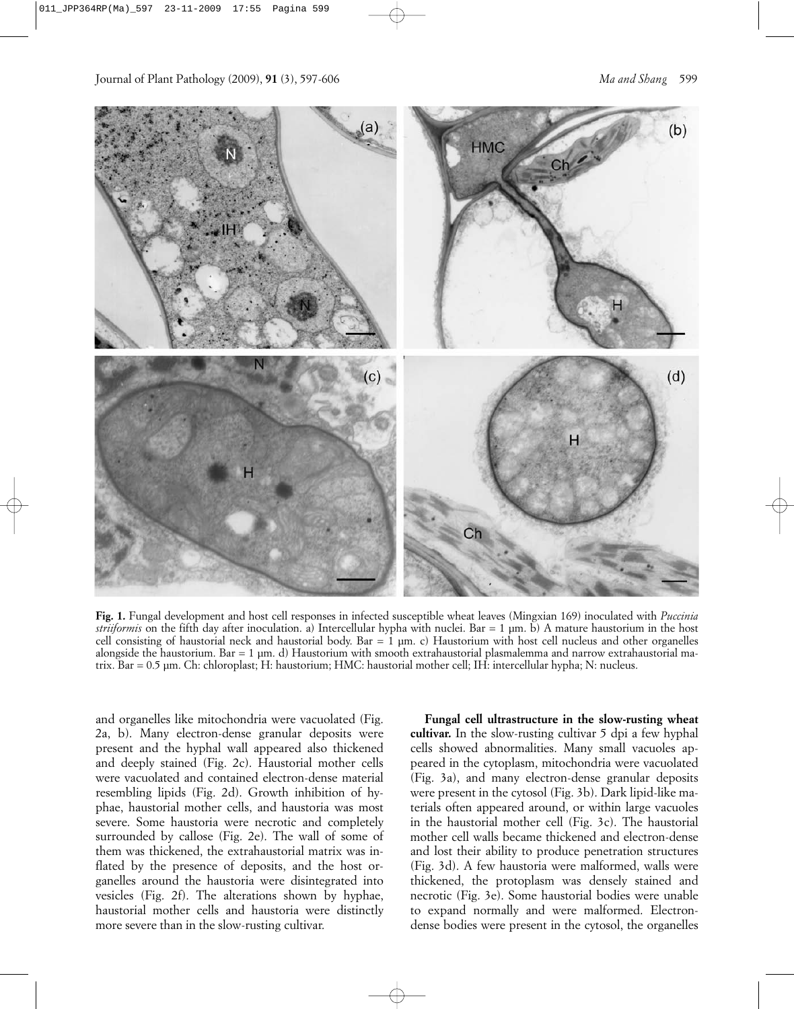

**Fig. 1.** Fungal development and host cell responses in infected susceptible wheat leaves (Mingxian 169) inoculated with *Puccinia striiformis* on the fifth day after inoculation. a) Intercellular hypha with nuclei. Bar = 1 µm. b) A mature haustorium in the host cell consisting of haustorial neck and haustorial body. Bar = 1 µm. c) Haustorium with host cell nucleus and other organelles alongside the haustorium. Bar = 1 µm. d) Haustorium with smooth extrahaustorial plasmalemma and narrow extrahaustorial matrix. Bar = 0.5 µm. Ch: chloroplast; H: haustorium; HMC: haustorial mother cell; IH: intercellular hypha; N: nucleus.

and organelles like mitochondria were vacuolated (Fig. 2a, b). Many electron-dense granular deposits were present and the hyphal wall appeared also thickened and deeply stained (Fig. 2c). Haustorial mother cells were vacuolated and contained electron-dense material resembling lipids (Fig. 2d). Growth inhibition of hyphae, haustorial mother cells, and haustoria was most severe. Some haustoria were necrotic and completely surrounded by callose (Fig. 2e). The wall of some of them was thickened, the extrahaustorial matrix was inflated by the presence of deposits, and the host organelles around the haustoria were disintegrated into vesicles (Fig. 2f). The alterations shown by hyphae, haustorial mother cells and haustoria were distinctly more severe than in the slow-rusting cultivar.

**Fungal cell ultrastructure in the slow-rusting wheat cultivar.** In the slow-rusting cultivar 5 dpi a few hyphal cells showed abnormalities. Many small vacuoles appeared in the cytoplasm, mitochondria were vacuolated (Fig. 3a), and many electron-dense granular deposits were present in the cytosol (Fig. 3b). Dark lipid-like materials often appeared around, or within large vacuoles in the haustorial mother cell (Fig. 3c). The haustorial mother cell walls became thickened and electron-dense and lost their ability to produce penetration structures (Fig. 3d). A few haustoria were malformed, walls were thickened, the protoplasm was densely stained and necrotic (Fig. 3e). Some haustorial bodies were unable to expand normally and were malformed. Electrondense bodies were present in the cytosol, the organelles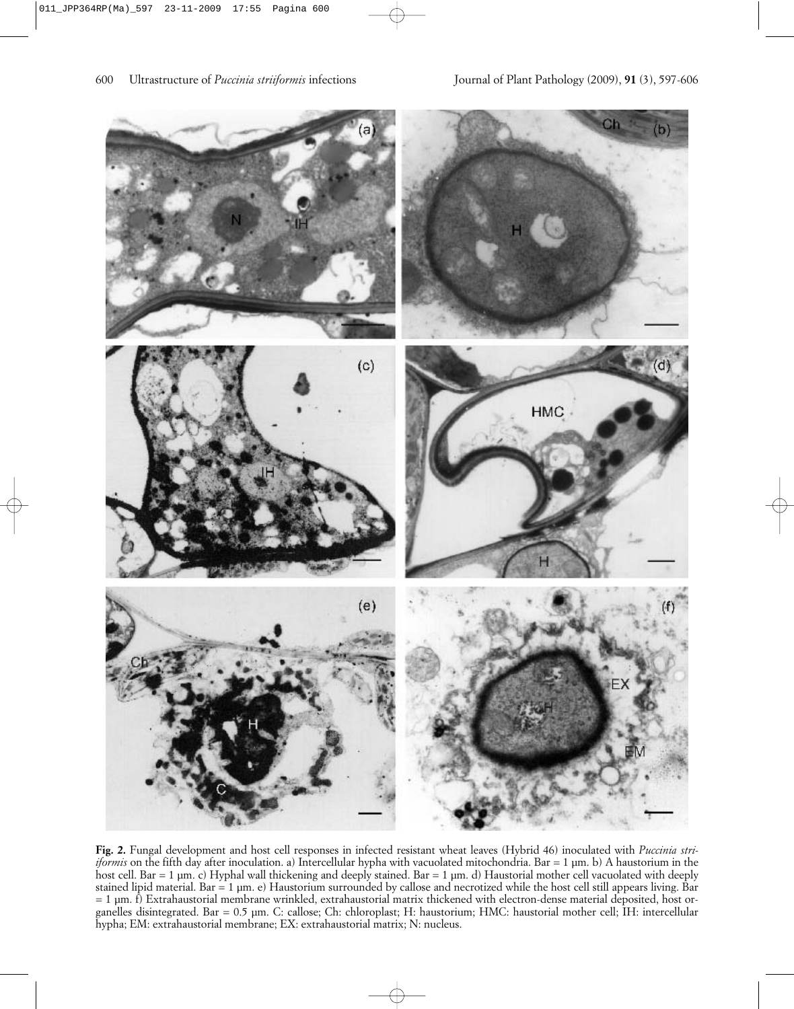

**Fig. 2.** Fungal development and host cell responses in infected resistant wheat leaves (Hybrid 46) inoculated with *Puccinia striiformis* on the fifth day after inoculation. a) Intercellular hypha with vacuolated mitochondria. Bar = 1 µm. b) A haustorium in the host cell. Bar = 1 µm. c) Hyphal wall thickening and deeply stained. Bar = 1 µm. d) Haustorial mother cell vacuolated with deeply stained lipid material. Bar = 1 µm. e) Haustorium surrounded by callose and necrotized while the host cell still appears living. Bar = 1 µm. f) Extrahaustorial membrane wrinkled, extrahaustorial matrix thickened with electron-dense material deposited, host organelles disintegrated. Bar = 0.5 µm. C: callose; Ch: chloroplast; H: haustorium; HMC: haustorial mother cell; IH: intercellular hypha; EM: extrahaustorial membrane; EX: extrahaustorial matrix; N: nucleus.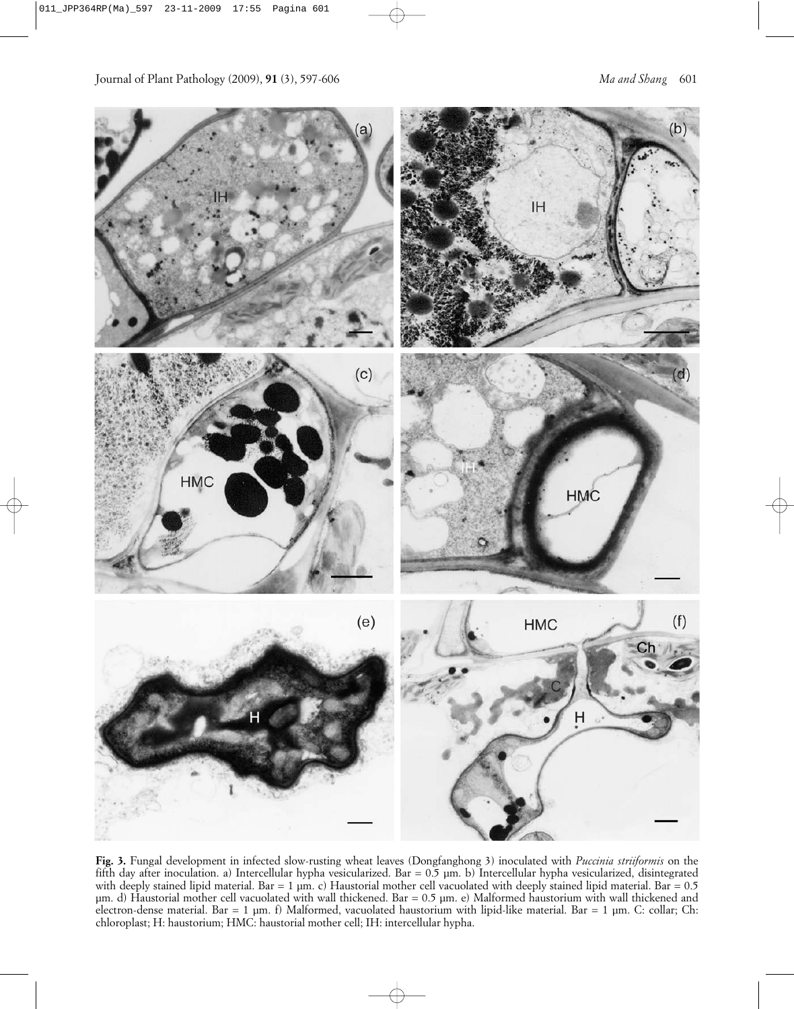

**Fig. 3.** Fungal development in infected slow-rusting wheat leaves (Dongfanghong 3) inoculated with *Puccinia striiformis* on the fifth day after inoculation. a) Intercellular hypha vesicularized. Bar =  $0.5$  µm. b) Intercellular hypha vesicularized, disintegrated with deeply stained lipid material. Bar = 1 µm. c) Haustorial mother cell vacuolated with deeply stained lipid material. Bar = 0.5 µm. d) Haustorial mother cell vacuolated with wall thickened. Bar = 0.5 µm. e) Malformed haustorium with wall thickened and electron-dense material. Bar = 1 µm. f) Malformed, vacuolated haustorium with lipid-like material. Bar = 1 µm. C: collar; Ch: chloroplast; H: haustorium; HMC: haustorial mother cell; IH: intercellular hypha.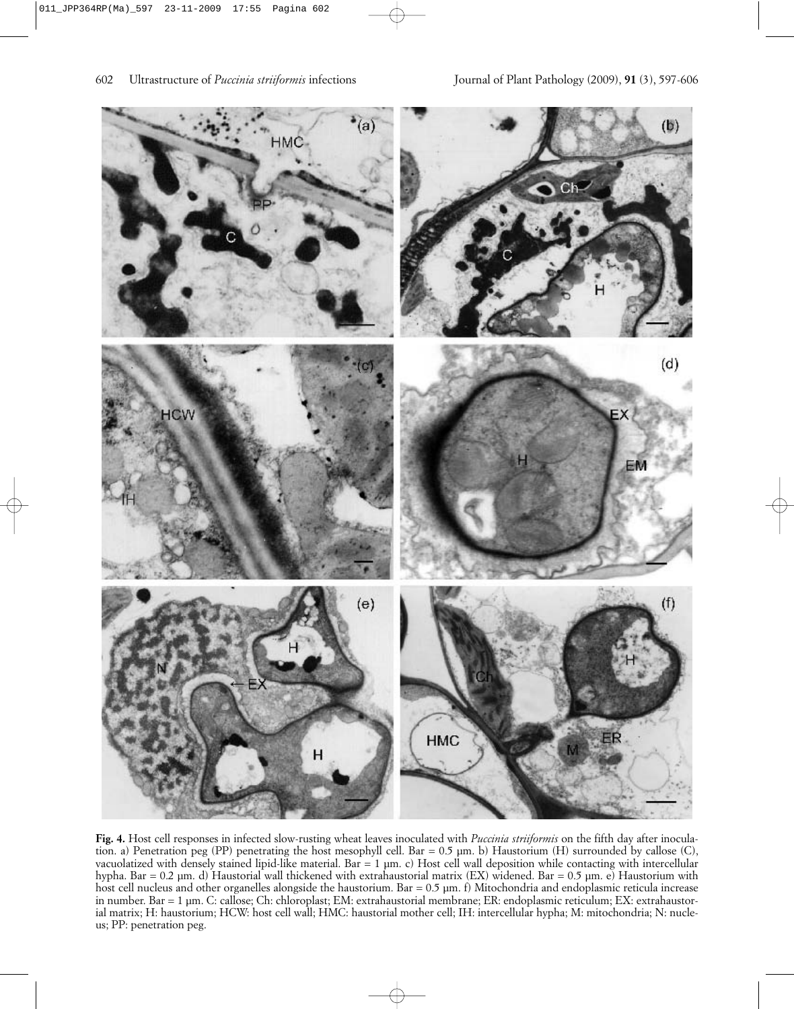

**Fig. 4.** Host cell responses in infected slow-rusting wheat leaves inoculated with *Puccinia striiformis* on the fifth day after inoculation. a) Penetration peg (PP) penetrating the host mesophyll cell. Bar = 0.5 µm. b) Haustorium (H) surrounded by callose (C), vacuolatized with densely stained lipid-like material. Bar = 1 µm. c) Host cell wall deposition while contacting with intercellular hypha. Bar = 0.2 µm. d) Haustorial wall thickened with extrahaustorial matrix (EX) widened. Bar = 0.5 µm. e) Haustorium with host cell nucleus and other organelles alongside the haustorium. Bar = 0.5 µm. f) Mitochondria and endoplasmic reticula increase in number. Bar = 1 µm. C: callose; Ch: chloroplast; EM: extrahaustorial membrane; ER: endoplasmic reticulum; EX: extrahaustorial matrix; H: haustorium; HCW: host cell wall; HMC: haustorial mother cell; IH: intercellular hypha; M: mitochondria; N: nucleus; PP: penetration peg.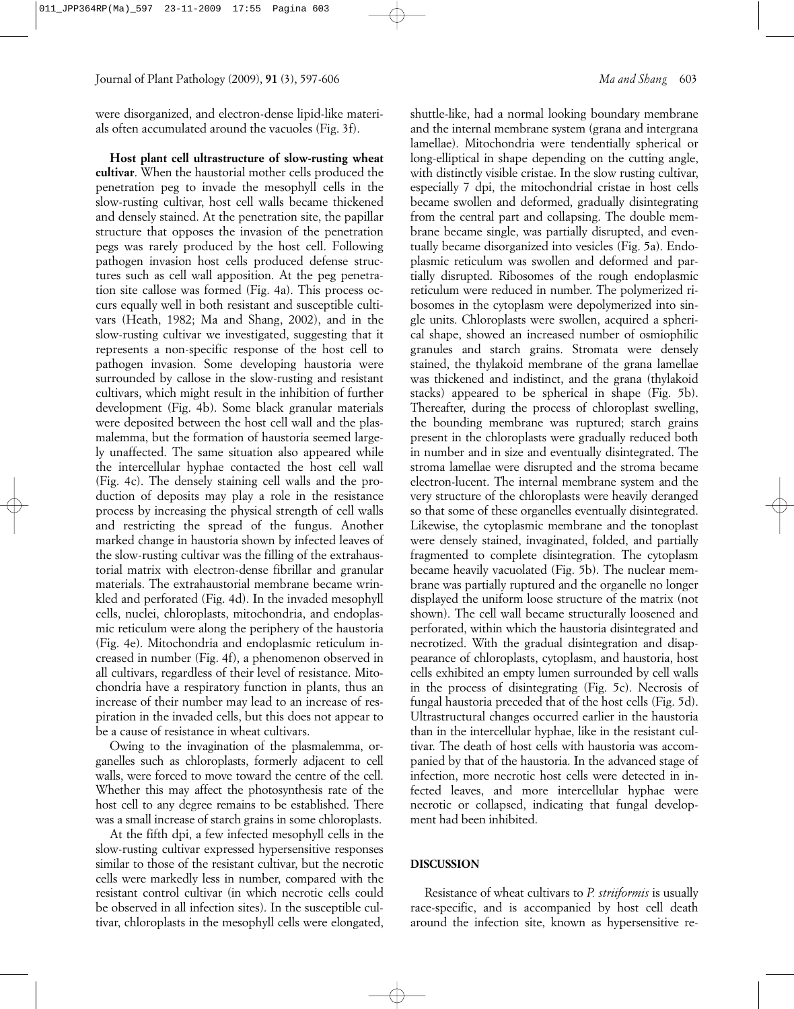were disorganized, and electron-dense lipid-like materials often accumulated around the vacuoles (Fig. 3f).

**Host plant cell ultrastructure of slow-rusting wheat cultivar**. When the haustorial mother cells produced the penetration peg to invade the mesophyll cells in the slow-rusting cultivar, host cell walls became thickened and densely stained. At the penetration site, the papillar structure that opposes the invasion of the penetration pegs was rarely produced by the host cell. Following pathogen invasion host cells produced defense structures such as cell wall apposition. At the peg penetration site callose was formed (Fig. 4a). This process occurs equally well in both resistant and susceptible cultivars (Heath, 1982; Ma and Shang, 2002), and in the slow-rusting cultivar we investigated, suggesting that it represents a non-specific response of the host cell to pathogen invasion. Some developing haustoria were surrounded by callose in the slow-rusting and resistant cultivars, which might result in the inhibition of further development (Fig. 4b). Some black granular materials were deposited between the host cell wall and the plasmalemma, but the formation of haustoria seemed largely unaffected. The same situation also appeared while the intercellular hyphae contacted the host cell wall (Fig. 4c). The densely staining cell walls and the production of deposits may play a role in the resistance process by increasing the physical strength of cell walls and restricting the spread of the fungus. Another marked change in haustoria shown by infected leaves of the slow-rusting cultivar was the filling of the extrahaustorial matrix with electron-dense fibrillar and granular materials. The extrahaustorial membrane became wrinkled and perforated (Fig. 4d). In the invaded mesophyll cells, nuclei, chloroplasts, mitochondria, and endoplasmic reticulum were along the periphery of the haustoria (Fig. 4e). Mitochondria and endoplasmic reticulum increased in number (Fig. 4f), a phenomenon observed in all cultivars, regardless of their level of resistance. Mitochondria have a respiratory function in plants, thus an increase of their number may lead to an increase of respiration in the invaded cells, but this does not appear to be a cause of resistance in wheat cultivars.

Owing to the invagination of the plasmalemma, organelles such as chloroplasts, formerly adjacent to cell walls, were forced to move toward the centre of the cell. Whether this may affect the photosynthesis rate of the host cell to any degree remains to be established. There was a small increase of starch grains in some chloroplasts.

At the fifth dpi, a few infected mesophyll cells in the slow-rusting cultivar expressed hypersensitive responses similar to those of the resistant cultivar, but the necrotic cells were markedly less in number, compared with the resistant control cultivar (in which necrotic cells could be observed in all infection sites). In the susceptible cultivar, chloroplasts in the mesophyll cells were elongated,

shuttle-like, had a normal looking boundary membrane and the internal membrane system (grana and intergrana lamellae). Mitochondria were tendentially spherical or long-elliptical in shape depending on the cutting angle, with distinctly visible cristae. In the slow rusting cultivar, especially 7 dpi, the mitochondrial cristae in host cells became swollen and deformed, gradually disintegrating from the central part and collapsing. The double membrane became single, was partially disrupted, and eventually became disorganized into vesicles (Fig. 5a). Endoplasmic reticulum was swollen and deformed and partially disrupted. Ribosomes of the rough endoplasmic reticulum were reduced in number. The polymerized ribosomes in the cytoplasm were depolymerized into single units. Chloroplasts were swollen, acquired a spherical shape, showed an increased number of osmiophilic granules and starch grains. Stromata were densely stained, the thylakoid membrane of the grana lamellae was thickened and indistinct, and the grana (thylakoid stacks) appeared to be spherical in shape (Fig. 5b). Thereafter, during the process of chloroplast swelling, the bounding membrane was ruptured; starch grains present in the chloroplasts were gradually reduced both in number and in size and eventually disintegrated. The stroma lamellae were disrupted and the stroma became electron-lucent. The internal membrane system and the very structure of the chloroplasts were heavily deranged so that some of these organelles eventually disintegrated. Likewise, the cytoplasmic membrane and the tonoplast were densely stained, invaginated, folded, and partially fragmented to complete disintegration. The cytoplasm became heavily vacuolated (Fig. 5b). The nuclear membrane was partially ruptured and the organelle no longer displayed the uniform loose structure of the matrix (not shown). The cell wall became structurally loosened and perforated, within which the haustoria disintegrated and necrotized. With the gradual disintegration and disappearance of chloroplasts, cytoplasm, and haustoria, host cells exhibited an empty lumen surrounded by cell walls in the process of disintegrating (Fig. 5c). Necrosis of fungal haustoria preceded that of the host cells (Fig. 5d). Ultrastructural changes occurred earlier in the haustoria than in the intercellular hyphae, like in the resistant cultivar. The death of host cells with haustoria was accompanied by that of the haustoria. In the advanced stage of infection, more necrotic host cells were detected in infected leaves, and more intercellular hyphae were necrotic or collapsed, indicating that fungal development had been inhibited.

# **DISCUSSION**

Resistance of wheat cultivars to *P. striiformis* is usually race-specific, and is accompanied by host cell death around the infection site, known as hypersensitive re-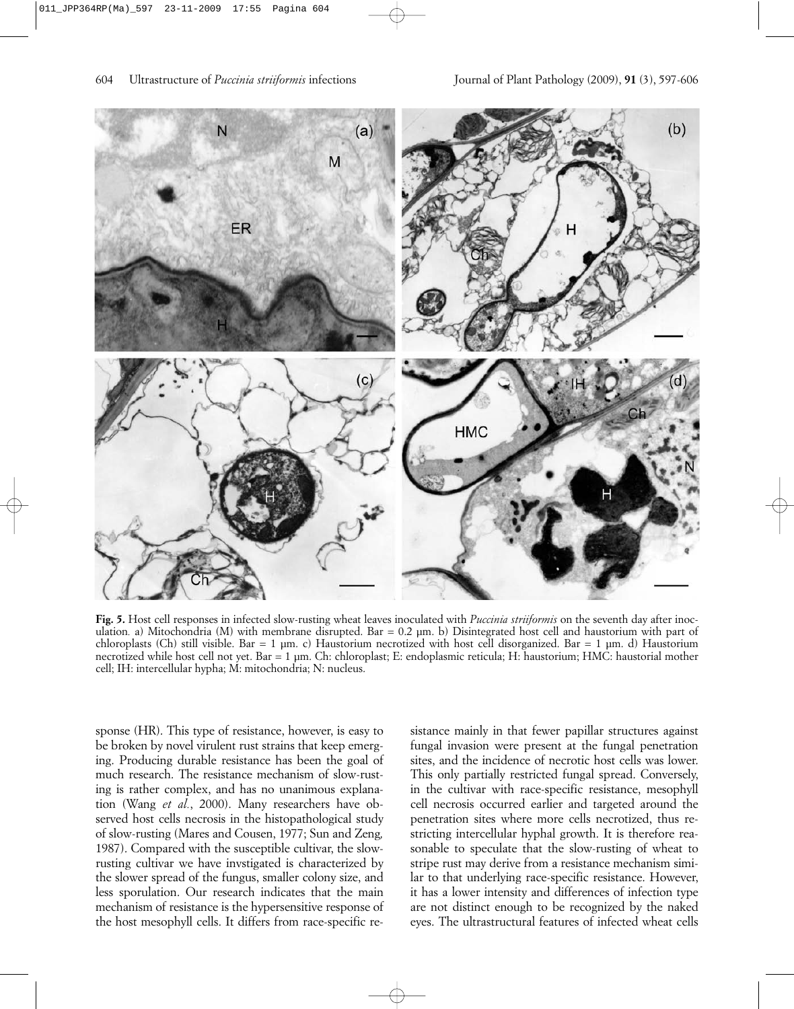

**Fig. 5.** Host cell responses in infected slow-rusting wheat leaves inoculated with *Puccinia striiformis* on the seventh day after inoculation. a) Mitochondria (M) with membrane disrupted. Bar = 0.2 µm. b) Disintegrated host cell and haustorium with part of chloroplasts (Ch) still visible. Bar = 1 µm. c) Haustorium necrotized with host cell disorganized. Bar = 1 µm. d) Haustorium necrotized while host cell not yet. Bar = 1 µm. Ch: chloroplast; E: endoplasmic reticula; H: haustorium; HMC: haustorial mother cell; IH: intercellular hypha; M: mitochondria; N: nucleus.

sponse (HR). This type of resistance, however, is easy to be broken by novel virulent rust strains that keep emerging. Producing durable resistance has been the goal of much research. The resistance mechanism of slow-rusting is rather complex, and has no unanimous explanation (Wang *et al.*, 2000). Many researchers have observed host cells necrosis in the histopathological study of slow-rusting (Mares and Cousen, 1977; Sun and Zeng*,* 1987). Compared with the susceptible cultivar, the slowrusting cultivar we have invstigated is characterized by the slower spread of the fungus, smaller colony size, and less sporulation. Our research indicates that the main mechanism of resistance is the hypersensitive response of the host mesophyll cells. It differs from race-specific resistance mainly in that fewer papillar structures against fungal invasion were present at the fungal penetration sites, and the incidence of necrotic host cells was lower. This only partially restricted fungal spread. Conversely, in the cultivar with race-specific resistance, mesophyll cell necrosis occurred earlier and targeted around the penetration sites where more cells necrotized, thus restricting intercellular hyphal growth. It is therefore reasonable to speculate that the slow-rusting of wheat to stripe rust may derive from a resistance mechanism similar to that underlying race-specific resistance. However, it has a lower intensity and differences of infection type are not distinct enough to be recognized by the naked eyes. The ultrastructural features of infected wheat cells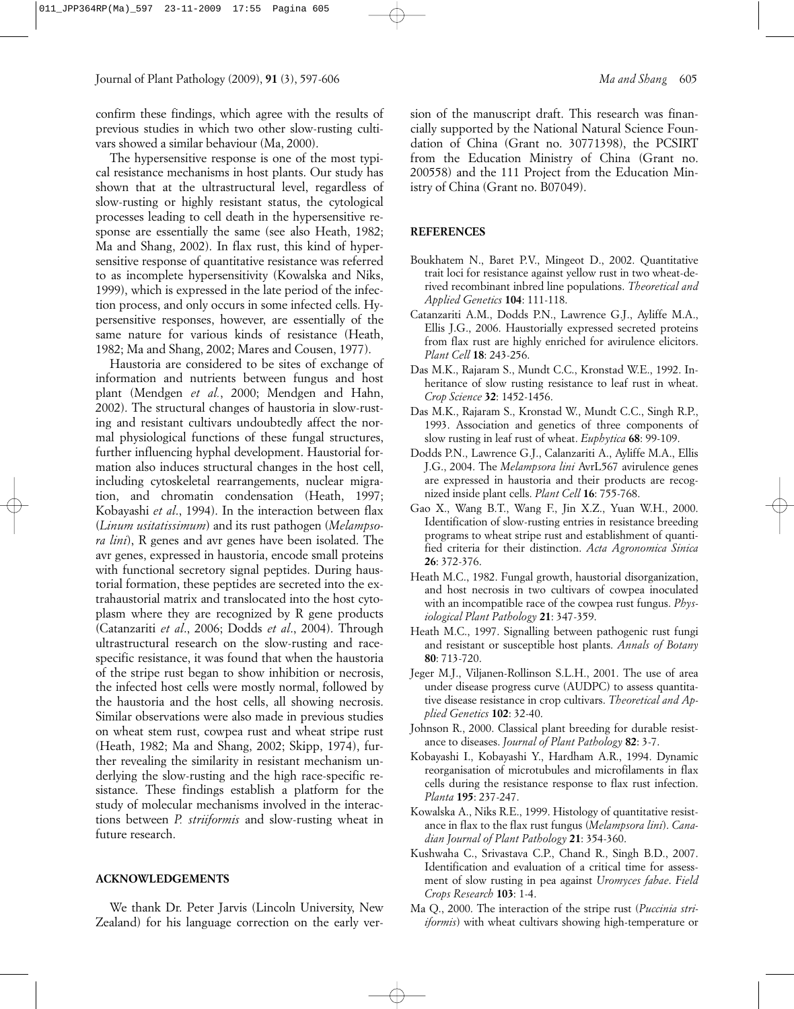confirm these findings, which agree with the results of previous studies in which two other slow-rusting cultivars showed a similar behaviour (Ma, 2000).

The hypersensitive response is one of the most typical resistance mechanisms in host plants. Our study has shown that at the ultrastructural level, regardless of slow-rusting or highly resistant status, the cytological processes leading to cell death in the hypersensitive response are essentially the same (see also Heath, 1982; Ma and Shang, 2002). In flax rust, this kind of hypersensitive response of quantitative resistance was referred to as incomplete hypersensitivity (Kowalska and Niks, 1999), which is expressed in the late period of the infection process, and only occurs in some infected cells. Hypersensitive responses, however, are essentially of the same nature for various kinds of resistance (Heath, 1982; Ma and Shang, 2002; Mares and Cousen, 1977).

Haustoria are considered to be sites of exchange of information and nutrients between fungus and host plant (Mendgen *et al.*, 2000; Mendgen and Hahn, 2002). The structural changes of haustoria in slow-rusting and resistant cultivars undoubtedly affect the normal physiological functions of these fungal structures, further influencing hyphal development. Haustorial formation also induces structural changes in the host cell, including cytoskeletal rearrangements, nuclear migration, and chromatin condensation (Heath, 1997; Kobayashi *et al*., 1994). In the interaction between flax (*Linum usitatissimum*) and its rust pathogen (*Melampsora lini*), R genes and avr genes have been isolated. The avr genes, expressed in haustoria, encode small proteins with functional secretory signal peptides. During haustorial formation, these peptides are secreted into the extrahaustorial matrix and translocated into the host cytoplasm where they are recognized by R gene products (Catanzariti *et al*., 2006; Dodds *et al*., 2004). Through ultrastructural research on the slow-rusting and racespecific resistance, it was found that when the haustoria of the stripe rust began to show inhibition or necrosis, the infected host cells were mostly normal, followed by the haustoria and the host cells, all showing necrosis. Similar observations were also made in previous studies on wheat stem rust, cowpea rust and wheat stripe rust (Heath, 1982; Ma and Shang, 2002; Skipp, 1974), further revealing the similarity in resistant mechanism underlying the slow-rusting and the high race-specific resistance. These findings establish a platform for the study of molecular mechanisms involved in the interactions between *P. striiformis* and slow-rusting wheat in future research.

#### **ACKNOWLEDGEMENTS**

We thank Dr. Peter Jarvis (Lincoln University, New Zealand) for his language correction on the early version of the manuscript draft. This research was financially supported by the National Natural Science Foundation of China (Grant no. 30771398), the PCSIRT from the Education Ministry of China (Grant no. 200558) and the 111 Project from the Education Ministry of China (Grant no. B07049).

## **REFERENCES**

- Boukhatem N., Baret P.V., Mingeot D., 2002. Quantitative trait loci for resistance against yellow rust in two wheat-derived recombinant inbred line populations. *Theoretical and Applied Genetics* **104**: 111-118.
- Catanzariti A.M., Dodds P.N., Lawrence G.J., Ayliffe M.A., Ellis J.G., 2006. Haustorially expressed secreted proteins from flax rust are highly enriched for avirulence elicitors. *Plant Cell* **18**: 243-256.
- Das M.K., Rajaram S., Mundt C.C., Kronstad W.E., 1992. Inheritance of slow rusting resistance to leaf rust in wheat. *Crop Science* **32**: 1452-1456.
- Das M.K., Rajaram S., Kronstad W., Mundt C.C., Singh R.P., 1993. Association and genetics of three components of slow rusting in leaf rust of wheat. *Euphytica* **68**: 99-109.
- Dodds P.N., Lawrence G.J., Calanzariti A., Ayliffe M.A., Ellis J.G., 2004. The *Melampsora lini* AvrL567 avirulence genes are expressed in haustoria and their products are recognized inside plant cells. *Plant Cell* **16**: 755-768.
- Gao X., Wang B.T., Wang F., Jin X.Z., Yuan W.H., 2000. Identification of slow-rusting entries in resistance breeding programs to wheat stripe rust and establishment of quantified criteria for their distinction. *Acta Agronomica Sinica* **26**: 372-376.
- Heath M.C., 1982. Fungal growth, haustorial disorganization, and host necrosis in two cultivars of cowpea inoculated with an incompatible race of the cowpea rust fungus. *Physiological Plant Pathology* **21**: 347-359.
- Heath M.C., 1997. Signalling between pathogenic rust fungi and resistant or susceptible host plants. *Annals of Botany* **80**: 713-720.
- Jeger M.J., Viljanen-Rollinson S.L.H., 2001. The use of area under disease progress curve (AUDPC) to assess quantitative disease resistance in crop cultivars. *Theoretical and Applied Genetics* **102**: 32-40.
- Johnson R., 2000. Classical plant breeding for durable resistance to diseases. *Journal of Plant Pathology* **82**: 3-7.
- Kobayashi I., Kobayashi Y., Hardham A.R., 1994. Dynamic reorganisation of microtubules and microfilaments in flax cells during the resistance response to flax rust infection. *Planta* **195**: 237-247.
- Kowalska A., Niks R.E., 1999. Histology of quantitative resistance in flax to the flax rust fungus (*Melampsora lini*). *Canadian Journal of Plant Pathology* **21**: 354-360.
- Kushwaha C., Srivastava C.P., Chand R., Singh B.D., 2007. Identification and evaluation of a critical time for assessment of slow rusting in pea against *Uromyces fabae*. *Field Crops Research* **103**: 1-4.
- Ma Q., 2000. The interaction of the stripe rust (*Puccinia striiformis*) with wheat cultivars showing high-temperature or